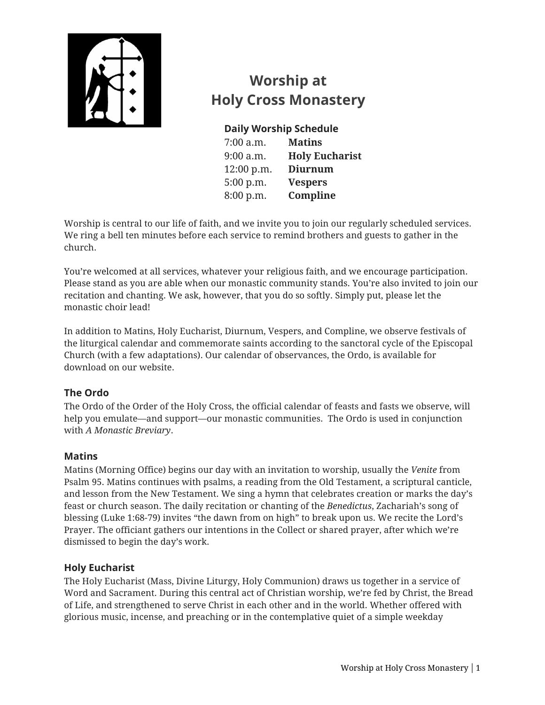

# **Worship at Holy Cross Monastery**

## **Daily Worship Schedule**

7:00 a.m. **Matins**  9:00 a.m. **Holy Eucharist** 12:00 p.m. **Diurnum** 5:00 p.m. **Vespers** 8:00 p.m. **Compline**

Worship is central to our life of faith, and we invite you to join our regularly scheduled services. We ring a bell ten minutes before each service to remind brothers and guests to gather in the church.

You're welcomed at all services, whatever your religious faith, and we encourage participation. Please stand as you are able when our monastic community stands. You're also invited to join our recitation and chanting. We ask, however, that you do so softly. Simply put, please let the monastic choir lead!

In addition to Matins, Holy Eucharist, Diurnum, Vespers, and Compline, we observe festivals of the liturgical calendar and commemorate saints according to the sanctoral cycle of the Episcopal Church (with a few adaptations). Our calendar of observances, the Ordo, is available for download on our website.

## **The Ordo**

The Ordo of the Order of the Holy Cross, the official calendar of feasts and fasts we observe, will help you emulate—and support—our monastic communities. The Ordo is used in conjunction with *A Monastic Breviary*.

### **Matins**

Matins (Morning Office) begins our day with an invitation to worship, usually the *Venite* from Psalm 95. Matins continues with psalms, a reading from the Old Testament, a scriptural canticle, and lesson from the New Testament. We sing a hymn that celebrates creation or marks the day's feast or church season. The daily recitation or chanting of the *Benedictus*, Zachariah's song of blessing (Luke 1:68-79) invites "the dawn from on high" to break upon us. We recite the Lord's Prayer. The officiant gathers our intentions in the Collect or shared prayer, after which we're dismissed to begin the day's work.

## **Holy Eucharist**

The Holy Eucharist (Mass, Divine Liturgy, Holy Communion) draws us together in a service of Word and Sacrament. During this central act of Christian worship, we're fed by Christ, the Bread of Life, and strengthened to serve Christ in each other and in the world. Whether offered with glorious music, incense, and preaching or in the contemplative quiet of a simple weekday